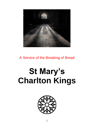

A Service of the Breaking of Bread

# **St Mary's Charlton Kings**

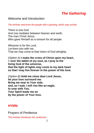# *The Gathering*

## Welcome and Introduction

*The minister welcomes the people with a greeting, which may include*

There is one God And one mediator between heaven and earth, The man Christ Jesus, Who gave Himself as a ransom for all people.

Whoever is for the Lord, Let them join with me, That we may come to that vision of God almighty.

*(Option A)* **I make the cross of Christ upon my heart, + over the tablet of my soul, as I pray to the living God of the universe, that the light of lights may come to my dark heart so that I may live forever in the power of His love.**

*(Option B)* **Hold me close dear Lord Jesus, let your love surround me. Bring me near to Your side; and, as I wait, I will rise like an eagle, to soar with You. Your Spirit leads me on by the power of Your love.**

#### **HYMN:**

Prayers of Penitence

*The minister introduces the confession.*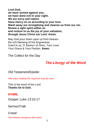**Lord God, we have sinned against you; we have done evil in your sight. We are sorry and repent. Have mercy on us according to your love. Wash away our wrongdoing and cleanse us from our sin. Renew a right spirit within us and restore to us the joy of your salvation; through Jesus Christ our Lord. Amen.** 

May God pour down upon us from heaven the rich blessing of His forgiveness. Grant to us, O Saviour of Glory, Your Love, Your Grace & Your Pardon. **Amen**.

The Collect for the Day

# *The Liturgy of the Word*

## Old Testament/Epistle:

*After each reading this response may be used*

This is the word of the Lord. **Thanks be to God.**

## **HYMN:**

Gospel: Luke 13:10-17

Sermon/Talk

**Creed** 

*The minister introduces the creed.*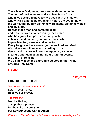**There is one God, unbegotten and without beginning, The Lord of the Universe, and His Son Jesus Christ, whom we declare to have always been with the Father, who of His Father is begotten and before the beginning of the world, that by Him all things were made, all things visible and invisible.**

**He was made man and defeated death and was received into heaven by the Father, who has given Him power over all people in heaven and on earth, and under the earth, to proclaim forgiveness and salvation. Every tongue will acknowledge Him as Lord and God. We believe we will receive according to our deeds, and that He will pour out upon us; His love, in all His abundance: giving us His faithful people, the gift of eternal life.**

**We acknowledge and adore Him as Lord in the Trinity of God's Holy Name.**

### **HYMN:**

*Prayers*

Prayers of Intercession

*The following response may be used*

Lord, in your mercy. **Receive our prayer.**

*And at the end*

Merciful Father, **accept these prayers for the sake of your Son, our Saviour Jesus Christ. Amen.**

*If there is no Eucharist the Lord's Prayer is used here followed by the final*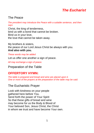# *The Eucharist*

## The Peace

*The president may introduce the Peace with a suitable sentence, and then says*

Christ, the king of tenderness, bind us with a bond that cannot be broken. Bind us in your love, the love that cannot be taken away.

My brothers & sisters, the peace of our Lord Jesus Christ be always with you. **And also with you.**

*These words may be added*

Let us offer one another a sign of peace.

*All may exchange a sign of peace.*

Preparation of the Table

## **OFFERTORY HYMN:**

*The table is prepared and bread and wine are placed upon it. One or more of the prayers at the preparation of the table may be said.*

## The Eucharistic Prayer

Look with kindness on your people gathered here before You. Send forth the power of Your Spirit So that these gifts of bread and wine may become for us the Body & Blood of Your beloved Son, Jesus Christ, the Christ in whom we trust and have become Your own.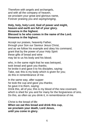Therefore with angels and archangels, and with all the company of heaven, we proclaim your great and glorious name, Forever praising you and *saying/singing*,

#### **Holy, holy, holy Lord, God of power and might, heaven and earth are full of your glory. Hosanna in the highest. Blessed is he who comes in the name of the Lord. Hosanna in the highest.**

Accept our praises, heavenly Father, through your Son our Saviour Jesus Christ, and as we follow his example and obey his command, grant that by the power of your Holy Spirit these gifts of bread and wine may be to us his body and his blood;

who, in the same night that he was betrayed. took bread and gave you thanks; he broke it and gave it to his disciples, saying: Take, eat; this is my body which is given for you; do this in remembrance of me.

In the same way, after supper he took the cup and gave you thanks; he gave it to them, saying: Drink this, all of you; this is my blood of the new covenant, which is shed for you and for many for the forgiveness of sins. Do this, as often as you drink it, in remembrance of me.

Christ is the bread of life: **When we eat this bread and drink this cup, we proclaim your death, Lord Jesus, until you come in glory.**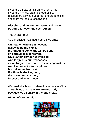If you are thirsty, drink from the font of life. If you are hungry, eat the Bread of life. Blessed are all who hunger for the bread of life and thirst for the cup of salvation.

#### **Blessing and honour and glory and power be yours for ever and ever. Amen.**

The Lord's Prayer

As our Saviour has taught us, so we pray:

**Our Father, who art in heaven, hallowed be thy name, thy kingdom come, thy will be done, on earth as it is in heaven. Give us this day our daily bread. And forgive us our trespasses, as we forgive those who trespass against us. And lead us not into temptation but deliver us from evil. For thine is the kingdom, the power and the glory, forever and ever. Amen.**

We break this bread to share in the body of Christ **Though we are many, we are one body because we all share in the one bread.**

*Giving of Communion*